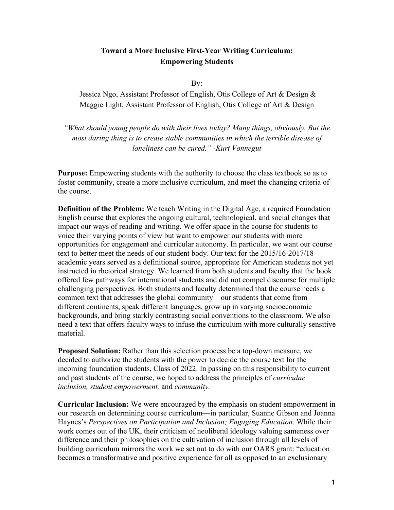# **Toward a More Inclusive First-Year Writing Curriculum: Empowering Students**

By:

Jessica Ngo, Assistant Professor of English, Otis College of Art & Design & Maggie Light, Assistant Professor of English, Otis College of Art & Design

*"What should young people do with their lives today? Many things, obviously. But the most daring thing is to create stable communities in which the terrible disease of loneliness can be cured." -Kurt Vonnegut*

**Purpose:** Empowering students with the authority to choose the class textbook so as to foster community, create a more inclusive curriculum, and meet the changing criteria of the course.

**Definition of the Problem:** We teach Writing in the Digital Age, a required Foundation English course that explores the ongoing cultural, technological, and social changes that impact our ways of reading and writing. We offer space in the course for students to voice their varying points of view but want to empower our students with more opportunities for engagement and curricular autonomy. In particular, we want our course text to better meet the needs of our student body. Our text for the 2015/16-2017/18 academic years served as a definitional source, appropriate for American students not yet instructed in rhetorical strategy. We learned from both students and faculty that the book offered few pathways for international students and did not compel discourse for multiple challenging perspectives. Both students and faculty determined that the course needs a common text that addresses the global community—our students that come from different continents, speak different languages, grow up in varying socioeconomic backgrounds, and bring starkly contrasting social conventions to the classroom. We also need a text that offers faculty ways to infuse the curriculum with more culturally sensitive material.

**Proposed Solution:** Rather than this selection process be a top-down measure, we decided to authorize the students with the power to decide the course text for the incoming foundation students, Class of 2022. In passing on this responsibility to current and past students of the course, we hoped to address the principles of *curricular inclusion, student empowerment,* and *community.* 

**Curricular Inclusion:** We were encouraged by the emphasis on student empowerment in our research on determining course curriculum—in particular, Suanne Gibson and Joanna Haynes's *Perspectives on Participation and Inclusion; Engaging Education*. While their work comes out of the UK, their criticism of neoliberal ideology valuing sameness over difference and their philosophies on the cultivation of inclusion through all levels of building curriculum mirrors the work we set out to do with our OARS grant: "education becomes a transformative and positive experience for all as opposed to an exclusionary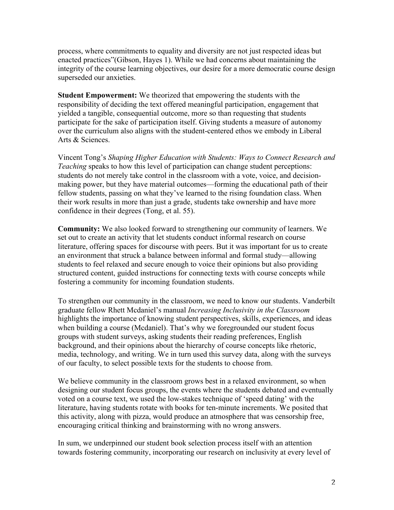process, where commitments to equality and diversity are not just respected ideas but enacted practices"(Gibson, Hayes 1). While we had concerns about maintaining the integrity of the course learning objectives, our desire for a more democratic course design superseded our anxieties.

**Student Empowerment:** We theorized that empowering the students with the responsibility of deciding the text offered meaningful participation, engagement that yielded a tangible, consequential outcome, more so than requesting that students participate for the sake of participation itself. Giving students a measure of autonomy over the curriculum also aligns with the student-centered ethos we embody in Liberal Arts & Sciences.

Vincent Tong's *Shaping Higher Education with Students: Ways to Connect Research and Teaching* speaks to how this level of participation can change student perceptions: students do not merely take control in the classroom with a vote, voice, and decisionmaking power, but they have material outcomes—forming the educational path of their fellow students, passing on what they've learned to the rising foundation class. When their work results in more than just a grade, students take ownership and have more confidence in their degrees (Tong, et al. 55).

**Community:** We also looked forward to strengthening our community of learners. We set out to create an activity that let students conduct informal research on course literature, offering spaces for discourse with peers. But it was important for us to create an environment that struck a balance between informal and formal study—allowing students to feel relaxed and secure enough to voice their opinions but also providing structured content, guided instructions for connecting texts with course concepts while fostering a community for incoming foundation students.

To strengthen our community in the classroom, we need to know our students. Vanderbilt graduate fellow Rhett Mcdaniel's manual *Increasing Inclusivity in the Classroom* highlights the importance of knowing student perspectives, skills, experiences, and ideas when building a course (Mcdaniel). That's why we foregrounded our student focus groups with student surveys, asking students their reading preferences, English background, and their opinions about the hierarchy of course concepts like rhetoric, media, technology, and writing. We in turn used this survey data, along with the surveys of our faculty, to select possible texts for the students to choose from.

We believe community in the classroom grows best in a relaxed environment, so when designing our student focus groups, the events where the students debated and eventually voted on a course text, we used the low-stakes technique of 'speed dating' with the literature, having students rotate with books for ten-minute increments. We posited that this activity, along with pizza, would produce an atmosphere that was censorship free, encouraging critical thinking and brainstorming with no wrong answers.

In sum, we underpinned our student book selection process itself with an attention towards fostering community, incorporating our research on inclusivity at every level of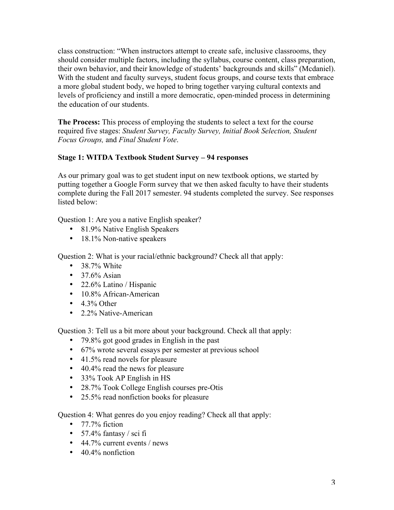class construction: "When instructors attempt to create safe, inclusive classrooms, they should consider multiple factors, including the syllabus, course content, class preparation, their own behavior, and their knowledge of students' backgrounds and skills" (Mcdaniel). With the student and faculty surveys, student focus groups, and course texts that embrace a more global student body, we hoped to bring together varying cultural contexts and levels of proficiency and instill a more democratic, open-minded process in determining the education of our students.

**The Process:** This process of employing the students to select a text for the course required five stages: *Student Survey, Faculty Survey, Initial Book Selection, Student Focus Groups,* and *Final Student Vote*.

#### **Stage 1: WITDA Textbook Student Survey – 94 responses**

As our primary goal was to get student input on new textbook options, we started by putting together a Google Form survey that we then asked faculty to have their students complete during the Fall 2017 semester. 94 students completed the survey. See responses listed below:

Question 1: Are you a native English speaker?

- 81.9% Native English Speakers
- 18.1% Non-native speakers

Question 2: What is your racial/ethnic background? Check all that apply:

- 38.7% White
- $37.6\%$  Asian
- 22.6% Latino / Hispanic
- 10.8% African-American
- $\bullet$  4.3% Other
- 2.2% Native-American

Question 3: Tell us a bit more about your background. Check all that apply:

- 79.8% got good grades in English in the past
- 67% wrote several essays per semester at previous school
- 41.5% read novels for pleasure
- 40.4% read the news for pleasure
- 33% Took AP English in HS
- 28.7% Took College English courses pre-Otis
- 25.5% read nonfiction books for pleasure

Question 4: What genres do you enjoy reading? Check all that apply:

- 77.7% fiction
- $57.4\%$  fantasy / sci fi
- 44.7% current events / news
- $\cdot$  40.4% nonfiction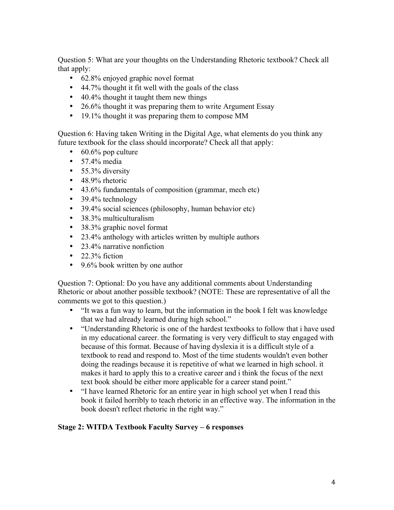Question 5: What are your thoughts on the Understanding Rhetoric textbook? Check all that apply:

- 62.8% enjoyed graphic novel format
- 44.7% thought it fit well with the goals of the class
- 40.4% thought it taught them new things
- 26.6% thought it was preparing them to write Argument Essay
- 19.1% thought it was preparing them to compose MM

Question 6: Having taken Writing in the Digital Age, what elements do you think any future textbook for the class should incorporate? Check all that apply:

- 60.6% pop culture
- $\bullet$  57.4% media
- 55.3% diversity
- 48.9% rhetoric
- 43.6% fundamentals of composition (grammar, mech etc)
- 39.4% technology
- 39.4% social sciences (philosophy, human behavior etc)
- 38.3% multiculturalism
- 38.3% graphic novel format
- 23.4% anthology with articles written by multiple authors
- 23.4% narrative nonfiction
- $\cdot$  22.3% fiction
- 9.6% book written by one author

Question 7: Optional: Do you have any additional comments about Understanding Rhetoric or about another possible textbook? (NOTE: These are representative of all the comments we got to this question.)

- "It was a fun way to learn, but the information in the book I felt was knowledge that we had already learned during high school."
- "Understanding Rhetoric is one of the hardest textbooks to follow that i have used in my educational career. the formating is very very difficult to stay engaged with because of this format. Because of having dyslexia it is a difficult style of a textbook to read and respond to. Most of the time students wouldn't even bother doing the readings because it is repetitive of what we learned in high school. it makes it hard to apply this to a creative career and i think the focus of the next text book should be either more applicable for a career stand point."
- "I have learned Rhetoric for an entire year in high school yet when I read this book it failed horribly to teach rhetoric in an effective way. The information in the book doesn't reflect rhetoric in the right way."

## **Stage 2: WITDA Textbook Faculty Survey – 6 responses**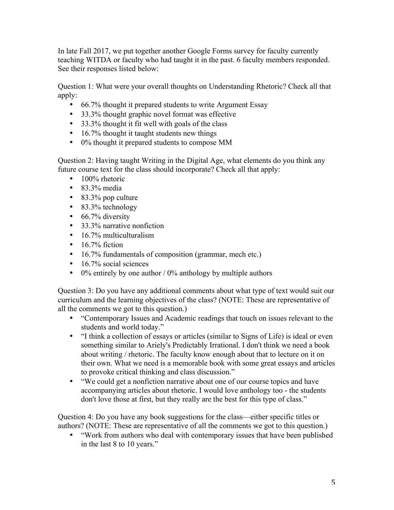In late Fall 2017, we put together another Google Forms survey for faculty currently teaching WITDA or faculty who had taught it in the past. 6 faculty members responded. See their responses listed below:

Question 1: What were your overall thoughts on Understanding Rhetoric? Check all that apply:

- 66.7% thought it prepared students to write Argument Essay
- 33.3% thought graphic novel format was effective
- 33.3% thought it fit well with goals of the class
- 16.7% thought it taught students new things
- 0% thought it prepared students to compose MM

Question 2: Having taught Writing in the Digital Age, what elements do you think any future course text for the class should incorporate? Check all that apply:

- 100% rhetoric
- 83.3% media
- 83.3% pop culture
- 83.3% technology
- $\cdot$  66.7% diversity
- 33.3% narrative nonfiction
- $\cdot$  16.7% multiculturalism
- $\cdot$  16.7% fiction
- 16.7% fundamentals of composition (grammar, mech etc.)
- 16.7% social sciences
- 0% entirely by one author  $/$  0% anthology by multiple authors

Question 3: Do you have any additional comments about what type of text would suit our curriculum and the learning objectives of the class? (NOTE: These are representative of all the comments we got to this question.)

- "Contemporary Issues and Academic readings that touch on issues relevant to the students and world today."
- "I think a collection of essays or articles (similar to Signs of Life) is ideal or even something similar to Ariely's Predictably Irrational. I don't think we need a book about writing / rhetoric. The faculty know enough about that to lecture on it on their own. What we need is a memorable book with some great essays and articles to provoke critical thinking and class discussion."
- "We could get a nonfiction narrative about one of our course topics and have accompanying articles about rhetoric. I would love anthology too - the students don't love those at first, but they really are the best for this type of class."

Question 4: Do you have any book suggestions for the class—either specific titles or authors? (NOTE: These are representative of all the comments we got to this question.)

• "Work from authors who deal with contemporary issues that have been published in the last 8 to 10 years."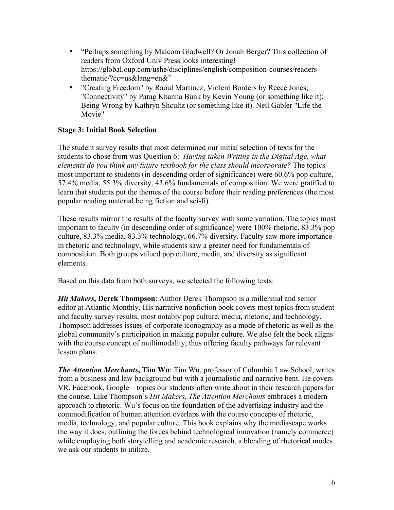- "Perhaps something by Malcom Gladwell? Or Jonah Berger? This collection of readers from Oxford Univ Press looks interesting! https://global.oup.com/ushe/disciplines/english/composition-courses/readersthematic/?cc=us&lang=en&"
- "Creating Freedom" by Raoul Martinez; Violent Borders by Reece Jones; "Connectivity" by Parag Khanna Bunk by Kevin Young (or something like it); Being Wrong by Kathryn Shcultz (or something like it). Neil Gabler "Life the Movie"

#### **Stage 3: Initial Book Selection**

The student survey results that most determined our initial selection of texts for the students to chose from was Question 6:*Having taken Writing in the Digital Age, what elements do you think any future textbook for the class should incorporate?* The topics most important to students (in descending order of significance) were 60.6% pop culture, 57.4% media, 55.3% diversity, 43.6% fundamentals of composition. We were gratified to learn that students put the themes of the course before their reading preferences (the most popular reading material being fiction and sci-fi).

These results mirror the results of the faculty survey with some variation. The topics most important to faculty (in descending order of significance) were 100% rhetoric, 83.3% pop culture, 83.3% media, 83.3% technology, 66.7% diversity. Faculty saw more importance in rhetoric and technology, while students saw a greater need for fundamentals of composition. Both groups valued pop culture, media, and diversity as significant elements.

Based on this data from both surveys, we selected the following texts:

*Hit Makers***, Derek Thompson**: Author Derek Thompson is a millennial and senior editor at Atlantic Monthly. His narrative nonfiction book covers most topics from student and faculty survey results, most notably pop culture, media, rhetoric, and technology. Thompson addresses issues of corporate iconography as a mode of rhetoric as well as the global community's participation in making popular culture. We also felt the book aligns with the course concept of multimodality, thus offering faculty pathways for relevant lesson plans.

*The Attention Merchants***, Tim Wu**: Tim Wu, professor of Columbia Law School, writes from a business and law background but with a journalistic and narrative bent. He covers VR, Facebook, Google—topics our students often write about in their research papers for the course. Like Thompson's *Hit Makers, The Attention Merchants* embraces a modern approach to rhetoric. Wu's focus on the foundation of the advertising industry and the commodification of human attention overlaps with the course concepts of rhetoric, media, technology, and popular culture. This book explains why the mediascape works the way it does, outlining the forces behind technological innovation (namely commerce) while employing both storytelling and academic research, a blending of rhetorical modes we ask our students to utilize.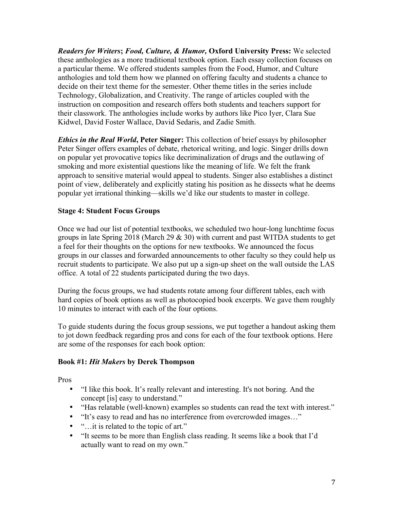*Readers for Writers***;** *Food, Culture, & Humor,* **Oxford University Press:** We selected these anthologies as a more traditional textbook option. Each essay collection focuses on a particular theme. We offered students samples from the Food, Humor, and Culture anthologies and told them how we planned on offering faculty and students a chance to decide on their text theme for the semester. Other theme titles in the series include Technology, Globalization, and Creativity. The range of articles coupled with the instruction on composition and research offers both students and teachers support for their classwork. The anthologies include works by authors like Pico Iyer, Clara Sue Kidwel, David Foster Wallace, David Sedaris, and Zadie Smith.

*Ethics in the Real World***, Peter Singer:** This collection of brief essays by philosopher Peter Singer offers examples of debate, rhetorical writing, and logic. Singer drills down on popular yet provocative topics like decriminalization of drugs and the outlawing of smoking and more existential questions like the meaning of life. We felt the frank approach to sensitive material would appeal to students. Singer also establishes a distinct point of view, deliberately and explicitly stating his position as he dissects what he deems popular yet irrational thinking—skills we'd like our students to master in college.

#### **Stage 4: Student Focus Groups**

Once we had our list of potential textbooks, we scheduled two hour-long lunchtime focus groups in late Spring 2018 (March 29  $\&$  30) with current and past WITDA students to get a feel for their thoughts on the options for new textbooks. We announced the focus groups in our classes and forwarded announcements to other faculty so they could help us recruit students to participate. We also put up a sign-up sheet on the wall outside the LAS office. A total of 22 students participated during the two days.

During the focus groups, we had students rotate among four different tables, each with hard copies of book options as well as photocopied book excerpts. We gave them roughly 10 minutes to interact with each of the four options.

To guide students during the focus group sessions, we put together a handout asking them to jot down feedback regarding pros and cons for each of the four textbook options. Here are some of the responses for each book option:

#### **Book #1:** *Hit Makers* **by Derek Thompson**

Pros

- "I like this book. It's really relevant and interesting. It's not boring. And the concept [is] easy to understand."
- "Has relatable (well-known) examples so students can read the text with interest."
- "It's easy to read and has no interference from overcrowded images…"
- "...it is related to the topic of art."
- "It seems to be more than English class reading. It seems like a book that I'd actually want to read on my own."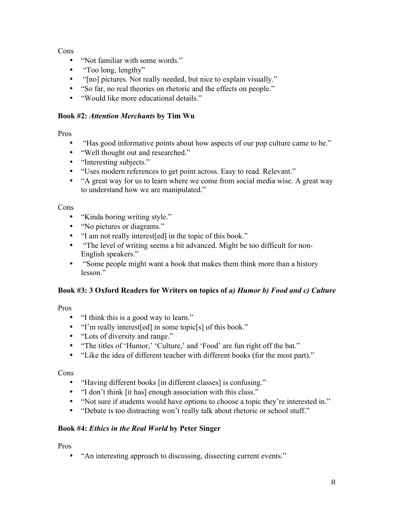Cons

- "Not familiar with some words."
- "Too long, lengthy"
- "[no] pictures. Not really needed, but nice to explain visually."
- "So far, no real theories on rhetoric and the effects on people."
- "Would like more educational details."

#### **Book #2:** *Attention Merchants* **by Tim Wu**

Pros

- "Has good informative points about how aspects of our pop culture came to be."
- "Well thought out and researched."
- "Interesting subjects."
- "Uses modern references to get point across. Easy to read. Relevant."
- "A great way for us to learn where we come from social media wise. A great way to understand how we are manipulated."

Cons

- "Kinda boring writing style."
- "No pictures or diagrams."
- "I am not really interest[ed] in the topic of this book."
- "The level of writing seems a bit advanced. Might be too difficult for non-English speakers."
- "Some people might want a book that makes them think more than a history lesson."

## **Book #3: 3 Oxford Readers for Writers on topics of** *a) Humor b) Food and c) Culture*

Pros

- "I think this is a good way to learn."
- "I'm really interest[ed] in some topic[s] of this book."
- "Lots of diversity and range."
- "The titles of 'Humor,' 'Culture,' and 'Food' are fun right off the bat."
- "Like the idea of different teacher with different books (for the most part)."

Cons

- "Having different books [in different classes] is confusing."
- "I don't think [it has] enough association with this class."
- "Not sure if students would have options to choose a topic they're interested in."
- "Debate is too distracting won't really talk about rhetoric or school stuff."

## **Book #4:** *Ethics in the Real World* **by Peter Singer**

Pros

• "An interesting approach to discussing, dissecting current events."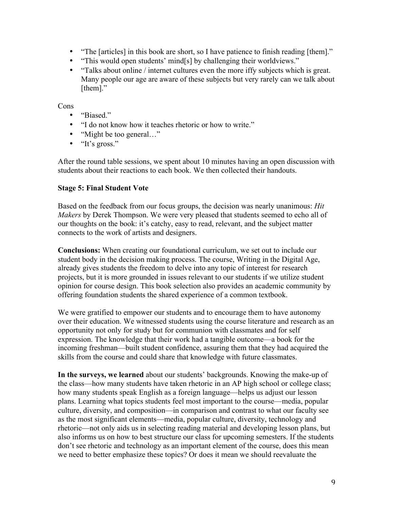- "The [articles] in this book are short, so I have patience to finish reading [them]."
- "This would open students' mind[s] by challenging their worldviews."
- "Talks about online / internet cultures even the more iffy subjects which is great. Many people our age are aware of these subjects but very rarely can we talk about [them]."

Cons

- "Biased"
- "I do not know how it teaches rhetoric or how to write."
- "Might be too general..."
- "It's gross."

After the round table sessions, we spent about 10 minutes having an open discussion with students about their reactions to each book. We then collected their handouts.

#### **Stage 5: Final Student Vote**

Based on the feedback from our focus groups, the decision was nearly unanimous: *Hit Makers* by Derek Thompson. We were very pleased that students seemed to echo all of our thoughts on the book: it's catchy, easy to read, relevant, and the subject matter connects to the work of artists and designers.

**Conclusions:** When creating our foundational curriculum, we set out to include our student body in the decision making process. The course, Writing in the Digital Age, already gives students the freedom to delve into any topic of interest for research projects, but it is more grounded in issues relevant to our students if we utilize student opinion for course design. This book selection also provides an academic community by offering foundation students the shared experience of a common textbook.

We were gratified to empower our students and to encourage them to have autonomy over their education. We witnessed students using the course literature and research as an opportunity not only for study but for communion with classmates and for self expression. The knowledge that their work had a tangible outcome—a book for the incoming freshman—built student confidence, assuring them that they had acquired the skills from the course and could share that knowledge with future classmates.

**In the surveys, we learned** about our students' backgrounds. Knowing the make-up of the class—how many students have taken rhetoric in an AP high school or college class; how many students speak English as a foreign language—helps us adjust our lesson plans. Learning what topics students feel most important to the course—media, popular culture, diversity, and composition—in comparison and contrast to what our faculty see as the most significant elements—media, popular culture, diversity, technology and rhetoric—not only aids us in selecting reading material and developing lesson plans, but also informs us on how to best structure our class for upcoming semesters. If the students don't see rhetoric and technology as an important element of the course, does this mean we need to better emphasize these topics? Or does it mean we should reevaluate the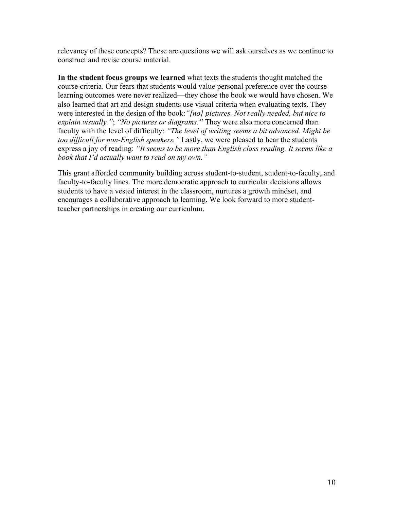relevancy of these concepts? These are questions we will ask ourselves as we continue to construct and revise course material.

**In the student focus groups we learned** what texts the students thought matched the course criteria. Our fears that students would value personal preference over the course learning outcomes were never realized—they chose the book we would have chosen. We also learned that art and design students use visual criteria when evaluating texts. They were interested in the design of the book:*"[no] pictures. Not really needed, but nice to explain visually."*; *"No pictures or diagrams."* They were also more concerned than faculty with the level of difficulty: *"The level of writing seems a bit advanced. Might be too difficult for non-English speakers."* Lastly, we were pleased to hear the students express a joy of reading: *"It seems to be more than English class reading. It seems like a book that I'd actually want to read on my own."*

This grant afforded community building across student-to-student, student-to-faculty, and faculty-to-faculty lines. The more democratic approach to curricular decisions allows students to have a vested interest in the classroom, nurtures a growth mindset, and encourages a collaborative approach to learning. We look forward to more studentteacher partnerships in creating our curriculum.